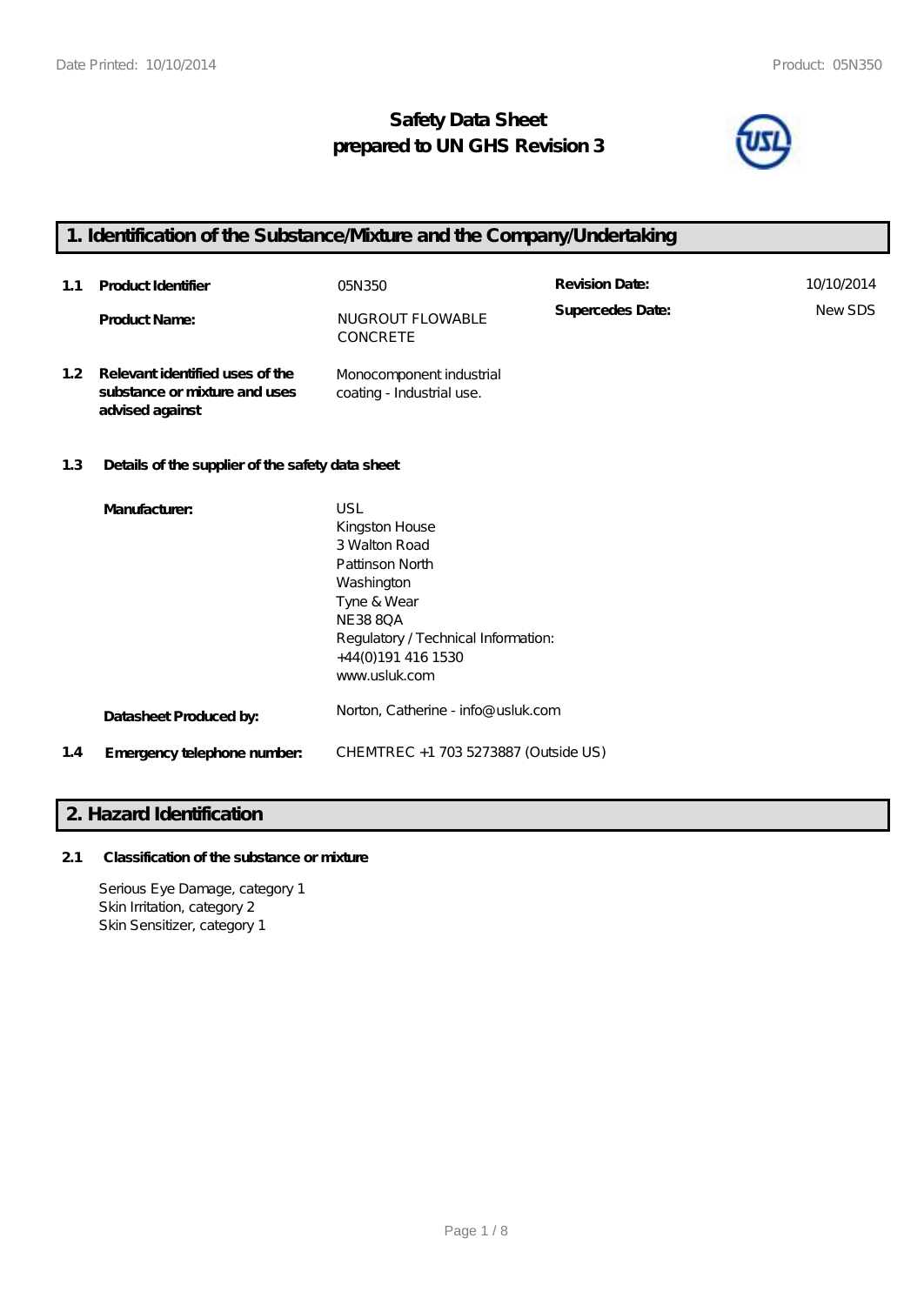**advised against**

# **Safety Data Sheet prepared to UN GHS Revision 3**



# **1. Identification of the Substance/Mixture and the Company/Undertaking**

| 1.1              | Product Identifier                                               | 05N 350                                               | <b>Revision Date:</b> | 10/10/2014 |
|------------------|------------------------------------------------------------------|-------------------------------------------------------|-----------------------|------------|
|                  | <b>Product Name:</b>                                             | NUGROUT FLOWABLE<br>CONCRETE                          | Supercedes Date:      | NewSDS     |
| 1.2 <sub>2</sub> | Relevant identified uses of the<br>substance or mixture and uses | Monocomponent industrial<br>coating - Industrial use. |                       |            |

# **1.3 Details of the supplier of the safety data sheet**

|     | Manufacturer:               | USL                                  |
|-----|-----------------------------|--------------------------------------|
|     |                             | Kingston House                       |
|     |                             | 3 Walton Road                        |
|     |                             | Pattinson North                      |
|     |                             | Washington                           |
|     |                             | Tyne & Wear                          |
|     |                             | <b>NE3880A</b>                       |
|     |                             | Regulatory / Technical Information:  |
|     |                             | +44(0)191 416 1530                   |
|     |                             | www.usluk.com                        |
|     |                             |                                      |
|     | Datasheet Produced by:      | Norton, Catherine - info@ usluk.com  |
|     |                             |                                      |
| 1.4 | Emergency telephone number. | CHEMTREC +1 703 5273887 (Outside US) |
|     |                             |                                      |

# **2. Hazard Identification**

# **2.1 Classification of the substance or mixture**

Serious Eye Damage, category 1 Skin Irritation, category 2 Skin Sensitizer, category 1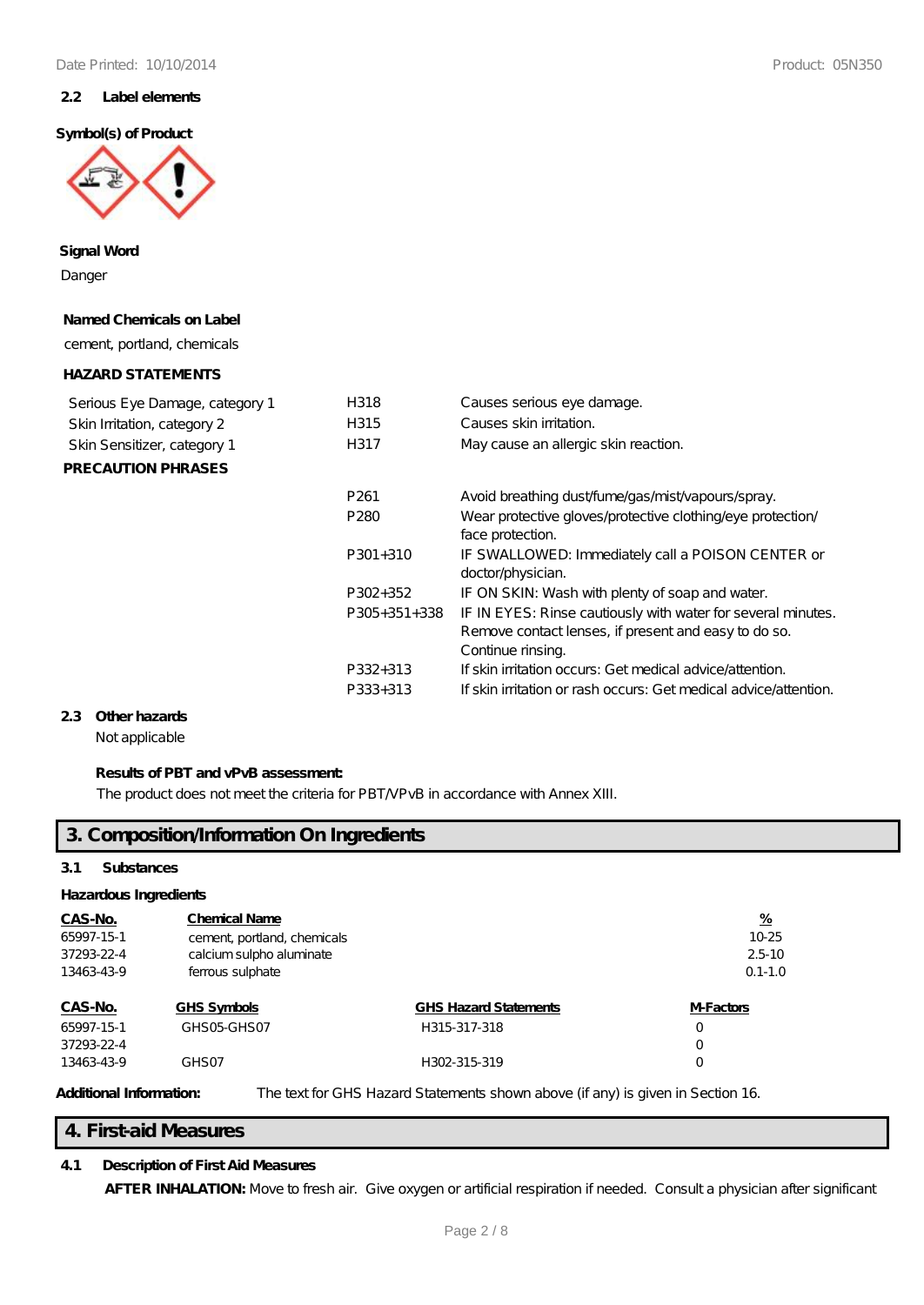### **2.2 Label elements**

### **Symbol(s) of Product**



**Signal Word**

Danger

#### **Named Chemicals on Label**

cement, portland, chemicals

### **HAZARD STATEMENTS**

| Serious Eye Damage, category 1<br>Skin Irritation, category 2<br>Skin Sensitizer, category 1<br><b>PRECAUTION PHRASES</b> | H318<br>H315<br>H317 | Causes serious eye damage.<br>Causes skin irritation.<br>May cause an allergic skin reaction. |
|---------------------------------------------------------------------------------------------------------------------------|----------------------|-----------------------------------------------------------------------------------------------|
|                                                                                                                           | P <sub>261</sub>     | Avoid breathing dust/fume/gas/mist/vapours/spray.                                             |
|                                                                                                                           | P <sub>280</sub>     | Wear protective gloves/protective clothing/eye protection/<br>face protection.                |
|                                                                                                                           | $P301+310$           | IF SWALLOWED: Immediately call a POISON CENTER or<br>doctor/physician.                        |
|                                                                                                                           | P302+352             | IF ON SKIN: Wash with plenty of soap and water.                                               |
|                                                                                                                           | $P305+351+338$       | IF IN EYES: Rinse cautiously with water for several minutes.                                  |
|                                                                                                                           |                      | Remove contact lenses, if present and easy to do so.                                          |
|                                                                                                                           |                      | Continue rinsing.                                                                             |
|                                                                                                                           | P332+313             | If skin irritation occurs: Get medical advice attention.                                      |
|                                                                                                                           | P333+313             | If skin irritation or rash occurs: Get medical advice/attention.                              |

## **2.3 Other hazards**

Not applicable

# **Results of PBT and vPvB assessment:**

The product does not meet the criteria for PBT/VPvB in accordance with Annex XIII.

# **3. Composition/Information On Ingredients**

### **3.1 Substances**

#### **Hazardous Ingredients**

| CAS-No.<br>65997-15-1<br>37293-22-4<br>13463-43-9 | <b>Chemical Name</b><br>cement, portland, chemicals<br>calcium sulpho aluminate |                              | $\frac{\%}{\%}$<br>$10 - 25$<br>$2.5 - 10$ |
|---------------------------------------------------|---------------------------------------------------------------------------------|------------------------------|--------------------------------------------|
| CAS-No.                                           | ferrous sulphate<br><b>GHS Symbols</b>                                          | <b>GHS Hazard Statements</b> | $0.1 - 1.0$<br><b>M-Factors</b>            |
| 65997-15-1<br>37293-22-4                          | GHSO <sub>5</sub> -GHSO7                                                        | H315-317-318                 | 0<br>$\Omega$                              |
| 13463-43-9                                        | GHS <sub>07</sub>                                                               | H302-315-319                 | Ω                                          |

**Additional Information:** The text for GHS Hazard Statements shown above (if any) is given in Section 16.

## **4. First-aid Measures**

# **4.1 Description of First Aid Measures**

AFTER INHALATION: Move to fresh air. Give oxygen or artificial respiration if needed. Consult a physician after significant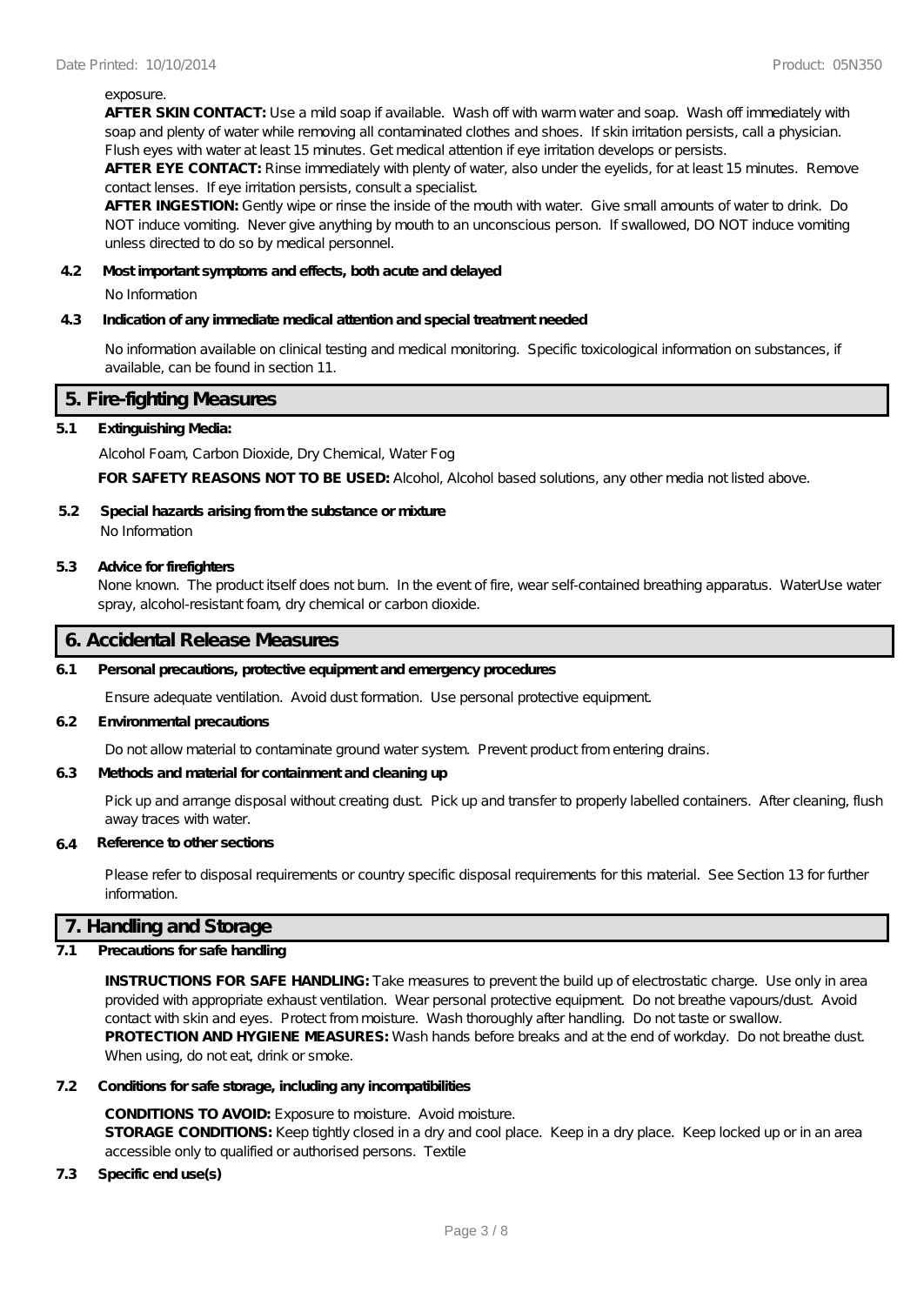#### exposure.

**AFTER SKIN CONTACT:** Use a mild soap if available. Wash off with warm water and soap. Wash off immediately with soap and plenty of water while removing all contaminated clothes and shoes. If skin irritation persists, call a physician. Flush eyes with water at least 15 minutes. Get medical attention if eye irritation develops or persists.

**AFTER EYE CONTACT:** Rinse immediately with plenty of water, also under the eyelids, for at least 15 minutes. Remove contact lenses. If eye irritation persists, consult a specialist.

**AFTER INGESTION:** Gently wipe or rinse the inside of the mouth with water. Give small amounts of water to drink. Do NOT induce vomiting. Never give anything by mouth to an unconscious person. If swallowed, DO NOT induce vomiting unless directed to do so by medical personnel.

#### **4.2 Most important symptoms and effects, both acute and delayed**

No Information

#### **4.3 Indication of any immediate medical attention and special treatment needed**

No information available on clinical testing and medical monitoring. Specific toxicological information on substances, if available, can be found in section 11.

## **5. Fire-fighting Measures**

### **5.1 Extinguishing Media:**

Alcohol Foam, Carbon Dioxide, Dry Chemical, Water Fog

**FOR SAFETY REASONS NOT TO BE USED:** Alcohol, Alcohol based solutions, any other media not listed above.

# **5.2 Special hazards arising from the substance or mixture**

No Information

#### **5.3 Advice for firefighters**

None known. The product itself does not burn. In the event of fire, wear self-contained breathing apparatus. WaterUse water spray, alcohol-resistant foam, dry chemical or carbon dioxide.

## **6. Accidental Release Measures**

#### **6.1 Personal precautions, protective equipment and emergency procedures**

Ensure adequate ventilation. Avoid dust formation. Use personal protective equipment.

#### **6.2 Environmental precautions**

Do not allow material to contaminate ground water system. Prevent product from entering drains.

### **6.3 Methods and material for containment and cleaning up**

Pick up and arrange disposal without creating dust. Pick up and transfer to properly labelled containers. After cleaning, flush away traces with water.

#### **6.4 Reference to other sections**

Please refer to disposal requirements or country specific disposal requirements for this material. See Section 13 for further information.

# **7. Handling and Storage**

### **7.1 Precautions for safe handling**

**INSTRUCTIONS FOR SAFE HANDLING:** Take measures to prevent the build up of electrostatic charge. Use only in area provided with appropriate exhaust ventilation. Wear personal protective equipment. Do not breathe vapours/dust. Avoid contact with skin and eyes. Protect from moisture. Wash thoroughly after handling. Do not taste or swallow. **PROTECTION AND HYGIENE MEASURES:** Wash hands before breaks and at the end of workday. Do not breathe dust. When using, do not eat, drink or smoke.

#### **7.2 Conditions for safe storage, including any incompatibilities**

**CONDITIONS TO AVOID:** Exposure to moisture. Avoid moisture. **STORAGE CONDITIONS:** Keep tightly closed in a dry and cool place. Keep in a dry place. Keep locked up or in an area accessible only to qualified or authorised persons. Textile

### **7.3 Specific end use(s)**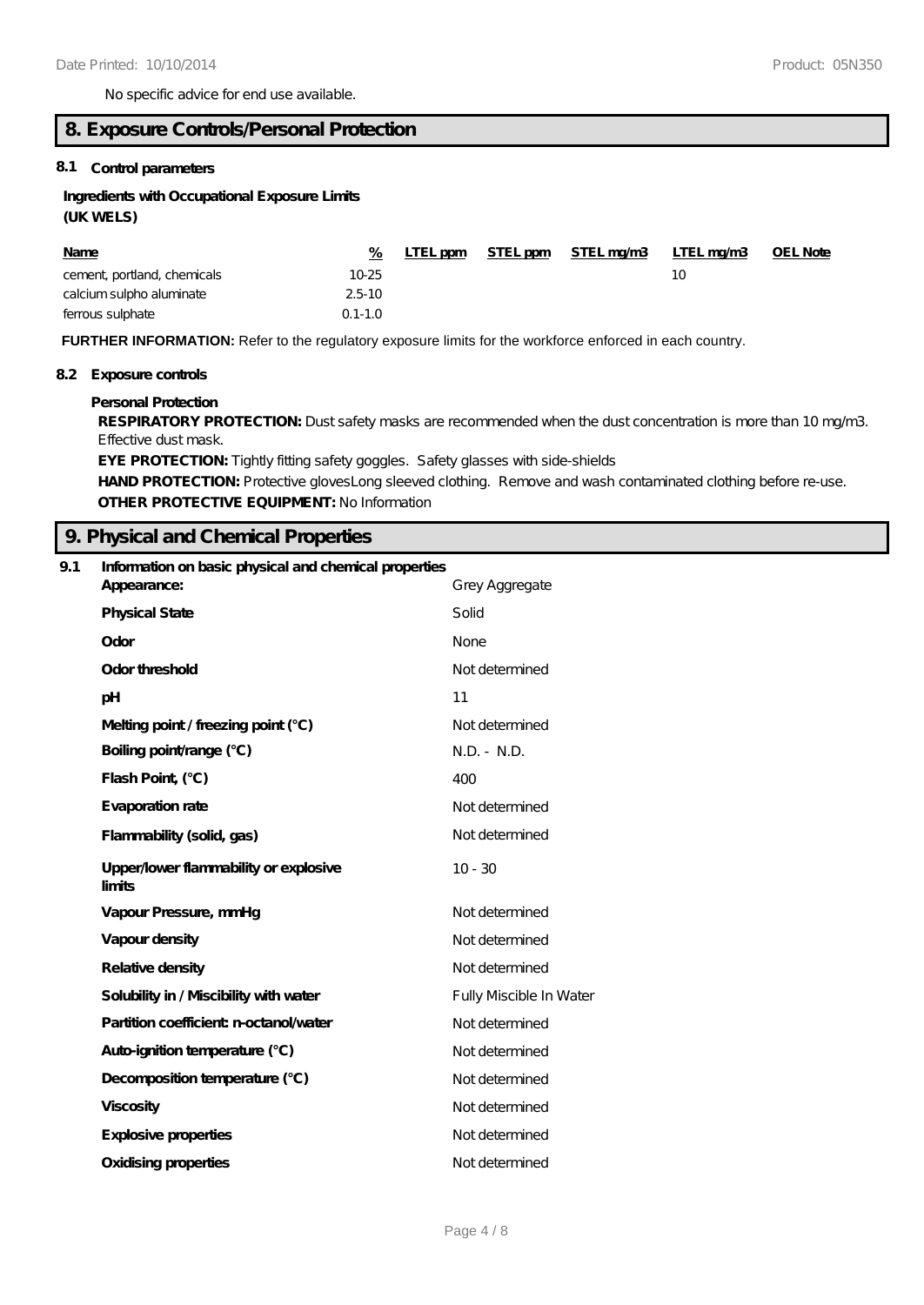No specific advice for end use available.

# **8. Exposure Controls/Personal Protection**

# **8.1 Control parameters**

# **Ingredients with Occupational Exposure Limits**

# **(UK WELS)**

| <b>Name</b>                 | %           | LTEL ppm | STEL ppm | <u>STEL mg/m3</u> | <u>LTEL mg/m3</u> | <b>OEL Note</b> |
|-----------------------------|-------------|----------|----------|-------------------|-------------------|-----------------|
| cement, portland, chemicals | 10-25       |          |          |                   |                   |                 |
| calcium sulpho aluminate    | $2.5 - 10$  |          |          |                   |                   |                 |
| ferrous sulphate            | $0.1 - 1.0$ |          |          |                   |                   |                 |

**FURTHER INFORMATION:** Refer to the regulatory exposure limits for the workforce enforced in each country.

### **8.2 Exposure controls**

### **Personal Protection**

**RESPIRATORY PROTECTION:** Dust safety masks are recommended when the dust concentration is more than 10 mg/m3. Effective dust mask.

**EYE PROTECTION:** Tightly fitting safety goggles. Safety glasses with side-shields HAND PROTECTION: Protective glovesLong sleeved clothing. Remove and wash contaminated clothing before re-use. **OTHER PROTECTIVE EQUIPMENT:** No Information

# **9. Physical and Chemical Properties**

| 9.1 | Information on basic physical and chemical properties |                         |  |  |
|-----|-------------------------------------------------------|-------------------------|--|--|
|     | Appearance:                                           | Grey Aggregate          |  |  |
|     | <b>Physical State</b>                                 | Solid                   |  |  |
|     | Odor                                                  | <b>None</b>             |  |  |
|     | Odor threshold                                        | Not determined          |  |  |
|     | pH                                                    | 11                      |  |  |
|     | Melting point / freezing point (°C)                   | Not determined          |  |  |
|     | Boiling point/range (°C)                              | $N.D. - N.D.$           |  |  |
|     | Flash Point, (°C)                                     | 400                     |  |  |
|     | Evaporation rate                                      | Not determined          |  |  |
|     | Flammability (solid, gas)                             | Not de termined         |  |  |
|     | Upper/lower flammability or explosive<br>limits       | $10 - 30$               |  |  |
|     | Vapour Pressure, mmHg                                 | Not determined          |  |  |
|     | Vapour density                                        | Not determined          |  |  |
|     | Relative density                                      | Not determined          |  |  |
|     | Solubility in / Miscibility with water                | Fully Miscible In Water |  |  |
|     | Partition coefficient n-octanol/water                 | Not determined          |  |  |
|     | Auto-ignition temperature (°C)                        | Not determined          |  |  |
|     | Decomposition temperature (°C)                        | Not determined          |  |  |
|     | <b>Viscosity</b>                                      | Not determined          |  |  |
|     | Explosive properties                                  | Not determined          |  |  |
|     | <b>Oxidising properties</b>                           | Not determined          |  |  |
|     |                                                       |                         |  |  |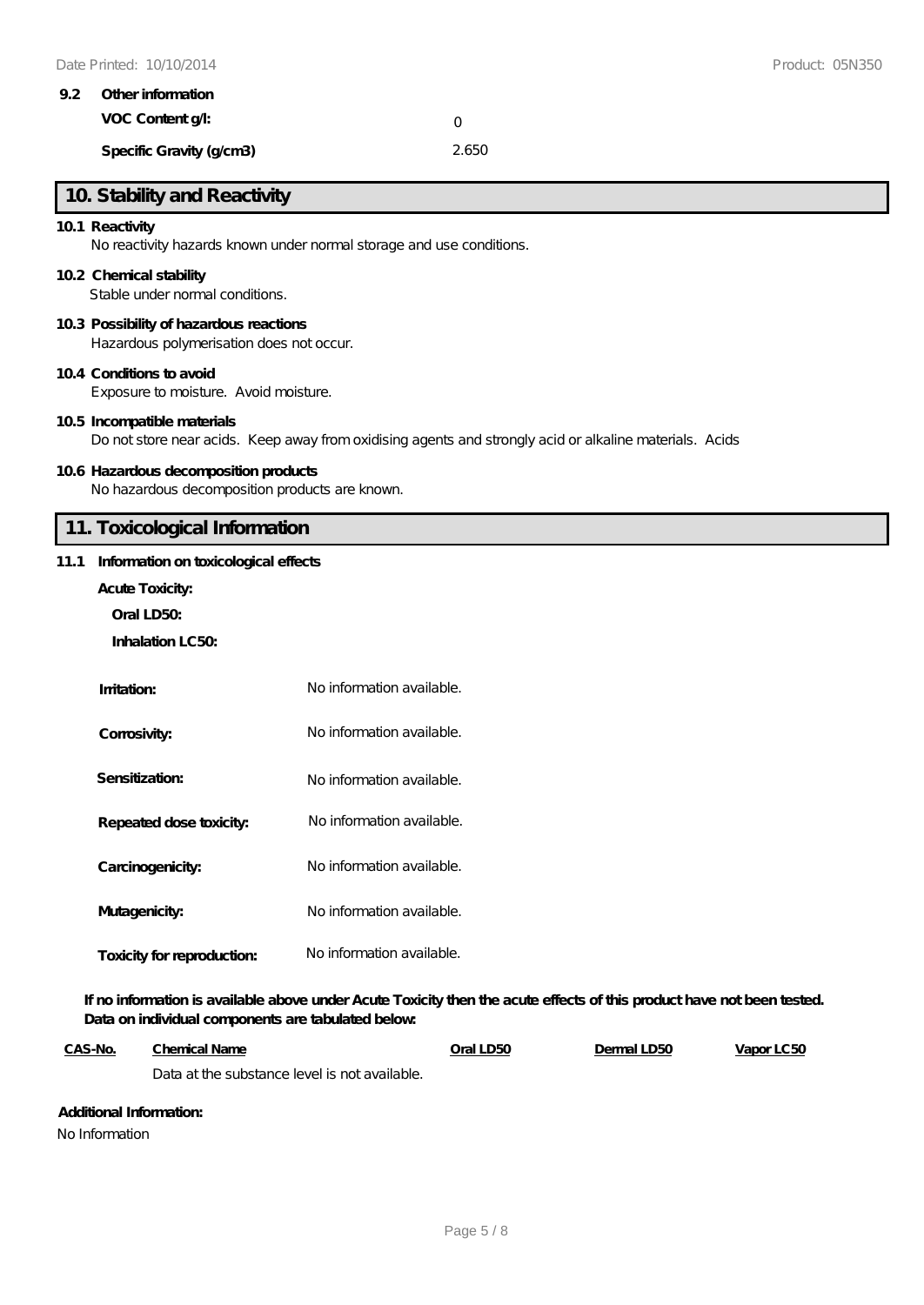|  | 9.2 Other information    |       |  |  |  |
|--|--------------------------|-------|--|--|--|
|  | VOC Content q.           |       |  |  |  |
|  | Specific Gravity (g/cm3) | 2.650 |  |  |  |

# **10. Stability and Reactivity**

#### **10.1 Reactivity**

No reactivity hazards known under normal storage and use conditions.

#### **10.2 Chemical stability**

Stable under normal conditions.

#### **10.3 Possibility of hazardous reactions**

Hazardous polymerisation does not occur.

#### **10.4 Conditions to avoid**

Exposure to moisture. Avoid moisture.

#### **10.5 Incompatible materials**

Do not store near acids. Keep away from oxidising agents and strongly acid or alkaline materials. Acids

### **10.6 Hazardous decomposition products**

No hazardous decomposition products are known.

# **11. Toxicological Information**

#### **11.1 Information on toxicological effects**

- **Acute Toxicity:**
	- **Oral LD50:**
	- **Inhalation LC50:**

| Imitation:                 | No information available. |
|----------------------------|---------------------------|
| Corrosivity:               | No information available. |
| Sensitization:             | No information available. |
| Repeated dose toxicity:    | No information available. |
| Carcinogenicity:           | No information available. |
| Mutagenicity:              | No information available. |
| Toxicity for reproduction: | No information available. |

**If no information is available above under Acute Toxicity then the acute effects of this product have not been tested. Data on individual components are tabulated below:**

| <u>CAS-No.</u> | <b>Chemical Name</b>                          | Oral LD50 | Dermal LD50 | Vapor LC50 |
|----------------|-----------------------------------------------|-----------|-------------|------------|
|                | Data at the substance level is not available. |           |             |            |

# **Additional Information:**

No Information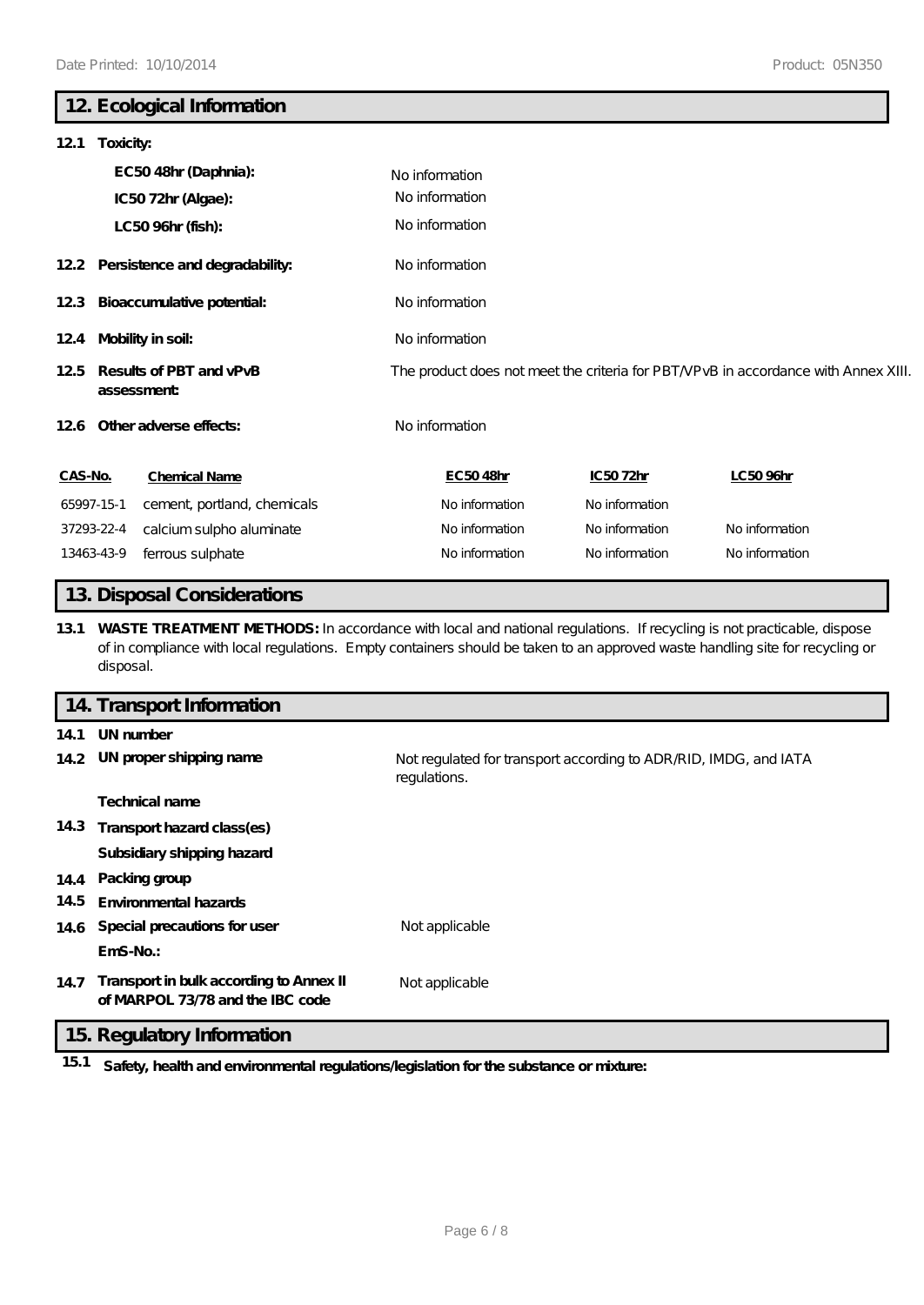# **12. Ecological Information**

| 121                                           | Toxicity:  |                                        |                                  |                                                                                    |                |  |  |
|-----------------------------------------------|------------|----------------------------------------|----------------------------------|------------------------------------------------------------------------------------|----------------|--|--|
|                                               |            | EC5048hr (Daphnia):                    | No information<br>No information |                                                                                    |                |  |  |
|                                               |            | IC5072hr (Algae):<br>LC50 96hr (fish): | No information                   |                                                                                    |                |  |  |
|                                               |            | 12.2 Persistence and degradability:    | No information                   |                                                                                    |                |  |  |
|                                               |            | 12.3 Bioaccumulative potential:        | No information                   |                                                                                    |                |  |  |
| 124 Mobility in soil:                         |            |                                        | No information                   |                                                                                    |                |  |  |
| Results of PBT and vPvB<br>12.5<br>assessment |            |                                        |                                  | The product does not meet the criteria for PBT/VPvB in accordance with Annex XIII. |                |  |  |
|                                               |            | 12.6 Other adverse effects:            | No information                   |                                                                                    |                |  |  |
| CAS-No.                                       |            | <b>Chemical Name</b>                   | EC5048hr                         | IC5072hr                                                                           | LC50 96hr      |  |  |
|                                               | 65997-15-1 | cement, portland, chemicals            | No information                   | No information                                                                     |                |  |  |
|                                               | 37293-22-4 | calcium sulpho aluminate               | No information                   | No information                                                                     | No information |  |  |
|                                               | 13463-43-9 | ferrous sulphate                       | No information                   | No information                                                                     | No information |  |  |

# **13. Disposal Considerations**

**13.1 WASTE TREATMENT METHODS:** In accordance with local and national regulations. If recycling is not practicable, dispose of in compliance with local regulations. Empty containers should be taken to an approved waste handling site for recycling or disposal.

|      | 14. Transport Information                                                   |                                                                                  |
|------|-----------------------------------------------------------------------------|----------------------------------------------------------------------------------|
| 14.1 | UN number                                                                   |                                                                                  |
|      | 14.2 UN proper shipping name                                                | Not regulated for transport according to ADR RID, IMDG, and IATA<br>regulations. |
|      | <b>Technical name</b>                                                       |                                                                                  |
|      | 14.3 Transport hazard class(es)                                             |                                                                                  |
|      | Subsidiary shipping hazard                                                  |                                                                                  |
|      | 14.4 Packing group                                                          |                                                                                  |
| 14.5 | <b>Environmental hazards</b>                                                |                                                                                  |
|      | 14.6 Special precautions for user                                           | Not applicable                                                                   |
|      | $EmS-No.$ :                                                                 |                                                                                  |
| 14.7 | Transport in bulk according to Annex II<br>of MARPOL 73/78 and the IBC code | Not applicable                                                                   |

# **15. Regulatory Information**

**15.1 Safety, health and environmental regulations/legislation for the substance or mixture:**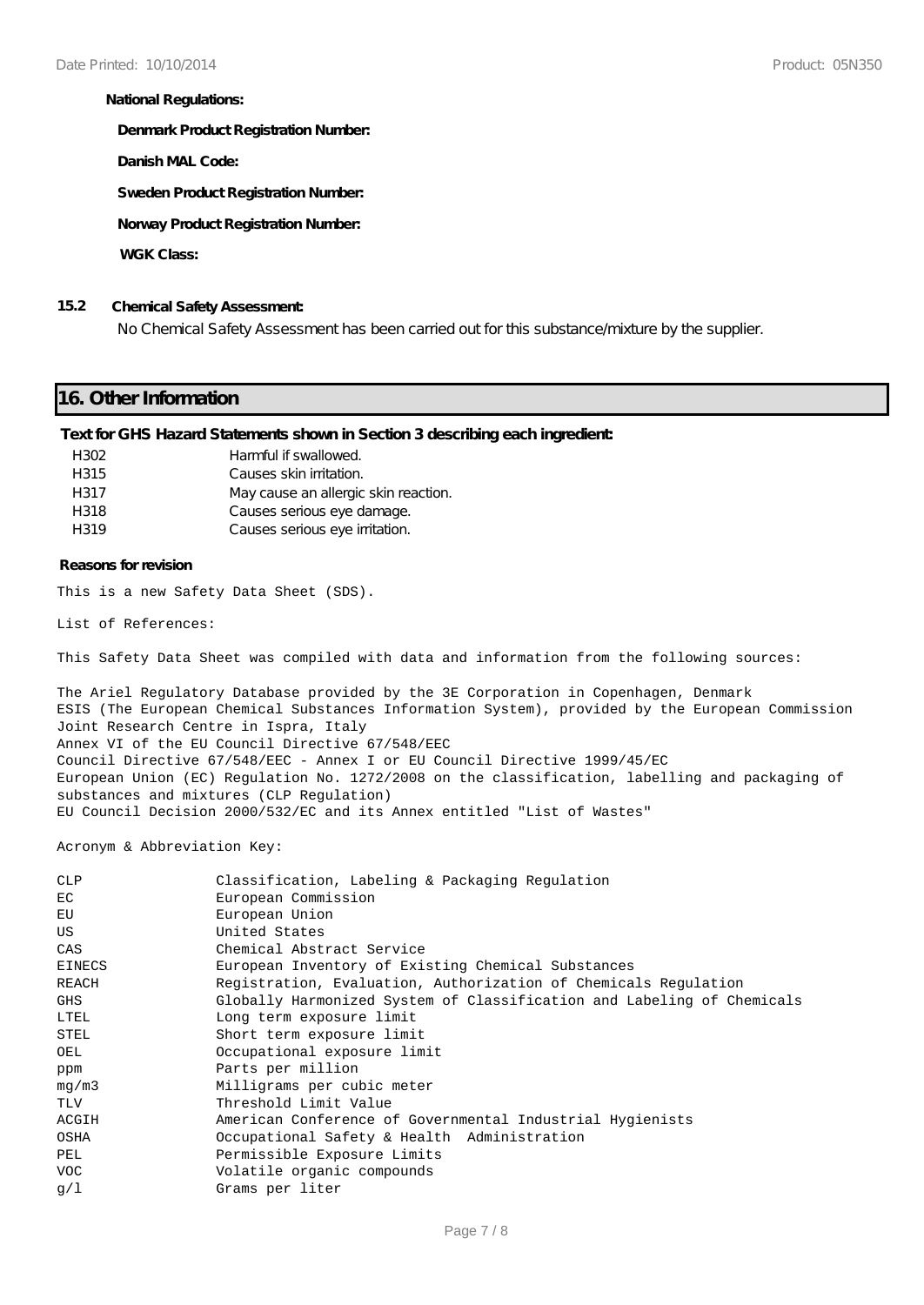#### **National Regulations:**

**Denmark Product Registration Number:**

**Danish MAL Code:**

**Sweden Product Registration Number:**

**Norway Product Registration Number:**

**WGK Class:**

### **15.2 Chemical Safety Assessment:**

No Chemical Safety Assessment has been carried out for this substance/mixture by the supplier.

# **16. Other Information**

#### **Text for GHS Hazard Statements shown in Section 3 describing each ingredient:**

| H302 | Harmful if swallowed.                |
|------|--------------------------------------|
| H315 | Causes skin irritation.              |
| H317 | May cause an allergic skin reaction. |
| H318 | Causes serious eye damage.           |
| H319 | Causes serious eye irritation.       |

#### **Reasons for revision**

This is a new Safety Data Sheet (SDS).

List of References:

This Safety Data Sheet was compiled with data and information from the following sources:

The Ariel Regulatory Database provided by the 3E Corporation in Copenhagen, Denmark ESIS (The European Chemical Substances Information System), provided by the European Commission Joint Research Centre in Ispra, Italy Annex VI of the EU Council Directive 67/548/EEC Council Directive 67/548/EEC - Annex I or EU Council Directive 1999/45/EC European Union (EC) Regulation No. 1272/2008 on the classification, labelling and packaging of substances and mixtures (CLP Regulation) EU Council Decision 2000/532/EC and its Annex entitled "List of Wastes"

Acronym & Abbreviation Key:

| <b>CLP</b>    | Classification, Labeling & Packaging Regulation                        |
|---------------|------------------------------------------------------------------------|
| EC            | European Commission                                                    |
| EU            | European Union                                                         |
| <b>US</b>     | United States                                                          |
| CAS           | Chemical Abstract Service                                              |
| <b>EINECS</b> | European Inventory of Existing Chemical Substances                     |
| REACH         | Registration, Evaluation, Authorization of Chemicals Regulation        |
| GHS           | Globally Harmonized System of Classification and Labeling of Chemicals |
| LTEL          | Long term exposure limit                                               |
| STEL          | Short term exposure limit                                              |
| OEL           | Occupational exposure limit                                            |
| ppm           | Parts per million                                                      |
| mq/m3         | Milligrams per cubic meter                                             |
| TLV           | Threshold Limit Value                                                  |
| ACGIH         | American Conference of Governmental Industrial Hygienists              |
| OSHA          | Occupational Safety & Health Administration                            |
| PEL           | Permissible Exposure Limits                                            |
| <b>VOC</b>    | Volatile organic compounds                                             |
| q/1           | Grams per liter                                                        |